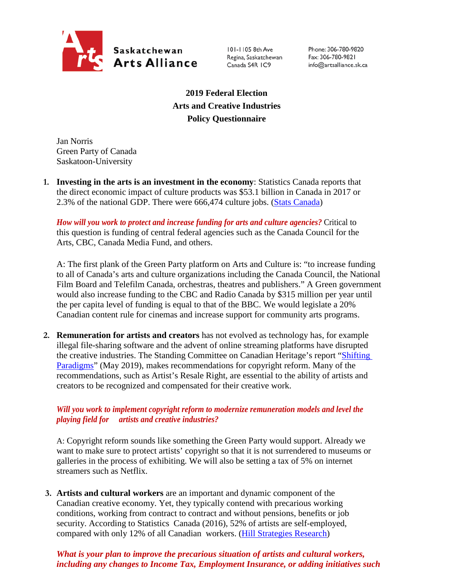

101-1105 8th Ave Regina, Saskatchewan Canada S4R IC9

Phone: 306-780-9820 Fax: 306-780-9821 info@artsalliance.sk.ca

**2019 Federal Election Arts and Creative Industries Policy Questionnaire**

Jan Norris Green Party of Canada Saskatoon-University

**1. Investing in the arts is an investment in the economy**: Statistics Canada reports that the direct economic impact of culture products was \$53.1 billion in Canada in 2017 or 2.3% of the national GDP. There were 666,474 culture jobs. [\(Stats Canada\)](https://www.canada.ca/en/canadian-heritage/corporate/publications/general-publications/culture-satellite-account.html#a4-3)

*How will you work to protect and increase funding for arts and culture agencies?* Critical to this question is funding of central federal agencies such as the Canada Council for the Arts, CBC, Canada Media Fund, and others.

A: The first plank of the Green Party platform on Arts and Culture is: "to increase funding to all of Canada's arts and culture organizations including the Canada Council, the National Film Board and Telefilm Canada, orchestras, theatres and publishers." A Green government would also increase funding to the CBC and Radio Canada by \$315 million per year until the per capita level of funding is equal to that of the BBC. We would legislate a 20% Canadian content rule for cinemas and increase support for community arts programs.

**2. Remuneration for artists and creators** has not evolved as technology has, for example illegal file-sharing software and the advent of online streaming platforms have disrupted the creative industries. The Standing Committee on Canadian Heritage's report "Shifting [Paradigms"](https://www.ourcommons.ca/Content/Committee/421/CHPC/Reports/RP10481650/chpcrp19/chpcrp19-e.pdf) (May 2019), makes recommendations for copyright reform. Many of the recommendations, such as Artist's Resale Right, are essential to the ability of artists and creators to be recognized and compensated for their creative work.

## *Will you work to implement copyright reform to modernize remuneration models and level the playing field for artists and creative industries?*

A: Copyright reform sounds like something the Green Party would support. Already we want to make sure to protect artists' copyright so that it is not surrendered to museums or galleries in the process of exhibiting. We will also be setting a tax of 5% on internet streamers such as Netflix.

**3. Artists and cultural workers** are an important and dynamic component of the Canadian creative economy. Yet, they typically contend with precarious working conditions, working from contract to contract and without pensions, benefits or job security. According to Statistics Canada (2016), 52% of artists are self-employed, compared with only 12% of all Canadian workers. [\(Hill Strategies Research\)](https://hillstrategies.com/2019/07/31/a-statistical-profile-of-artists-in-canada-in-2016-with-summary-information-about-cultural-workers/)

## *What is your plan to improve the precarious situation of artists and cultural workers, including any changes to Income Tax, Employment Insurance, or adding initiatives such*